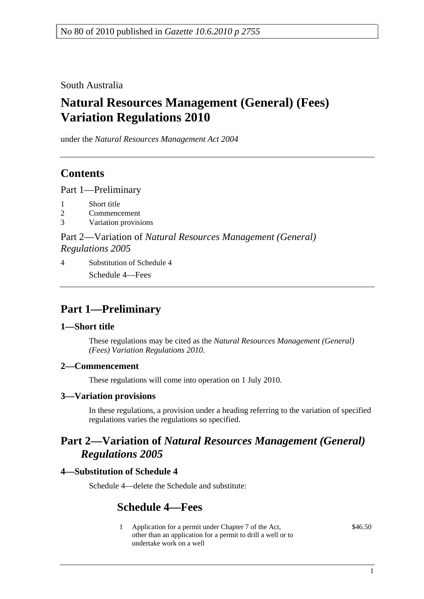South Australia

# **Natural Resources Management (General) (Fees) Variation Regulations 2010**

under the *Natural Resources Management Act 2004*

## **Contents**

Part 1—Preliminary

- 1 Short title
- 2 Commencement
- 3 Variation provisions

Part 2—Variation of *Natural Resources Management (General) Regulations 2005*

4 Substitution of Schedule 4 Schedule 4—Fees

## **Part 1—Preliminary**

### **1—Short title**

These regulations may be cited as the *Natural Resources Management (General) (Fees) Variation Regulations 2010*.

### **2—Commencement**

These regulations will come into operation on 1 July 2010.

### **3—Variation provisions**

In these regulations, a provision under a heading referring to the variation of specified regulations varies the regulations so specified.

### **Part 2—Variation of** *Natural Resources Management (General) Regulations 2005*

### **4—Substitution of Schedule 4**

Schedule 4—delete the Schedule and substitute:

### **Schedule 4—Fees**

1 Application for a permit under Chapter 7 of the Act, other than an application for a permit to drill a well or to undertake work on a well

\$46.50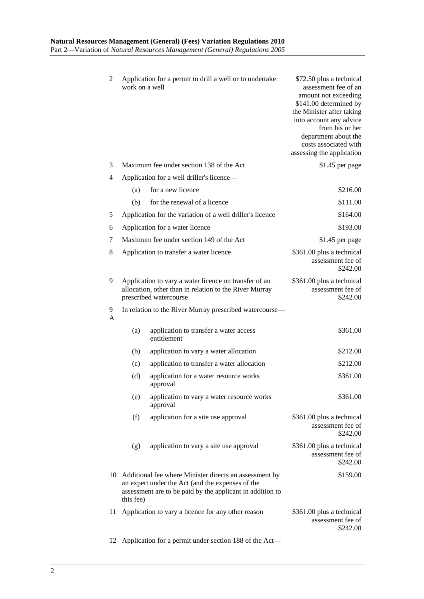| 2      | work on a well                           | Application for a permit to drill a well or to undertake                                                                                                                | \$72.50 plus a technical<br>assessment fee of an<br>amount not exceeding<br>\$141.00 determined by<br>the Minister after taking<br>into account any advice<br>from his or her<br>department about the<br>costs associated with<br>assessing the application |
|--------|------------------------------------------|-------------------------------------------------------------------------------------------------------------------------------------------------------------------------|-------------------------------------------------------------------------------------------------------------------------------------------------------------------------------------------------------------------------------------------------------------|
| 3      | Maximum fee under section 138 of the Act |                                                                                                                                                                         | \$1.45 per page                                                                                                                                                                                                                                             |
| 4      |                                          | Application for a well driller's licence—                                                                                                                               |                                                                                                                                                                                                                                                             |
|        | (a)                                      | for a new licence                                                                                                                                                       | \$216.00                                                                                                                                                                                                                                                    |
|        | (b)                                      | for the renewal of a licence                                                                                                                                            | \$111.00                                                                                                                                                                                                                                                    |
| 5      |                                          | Application for the variation of a well driller's licence                                                                                                               | \$164.00                                                                                                                                                                                                                                                    |
| 6      |                                          | Application for a water licence                                                                                                                                         | \$193.00                                                                                                                                                                                                                                                    |
| 7      |                                          | Maximum fee under section 149 of the Act                                                                                                                                | \$1.45 per page                                                                                                                                                                                                                                             |
| 8      |                                          | Application to transfer a water licence                                                                                                                                 | \$361.00 plus a technical<br>assessment fee of<br>\$242.00                                                                                                                                                                                                  |
| 9      |                                          | Application to vary a water licence on transfer of an<br>allocation, other than in relation to the River Murray<br>prescribed watercourse                               | \$361.00 plus a technical<br>assessment fee of<br>\$242.00                                                                                                                                                                                                  |
| 9<br>A |                                          | In relation to the River Murray prescribed watercourse-                                                                                                                 |                                                                                                                                                                                                                                                             |
|        | (a)                                      | application to transfer a water access<br>entitlement                                                                                                                   | \$361.00                                                                                                                                                                                                                                                    |
|        | (b)                                      | application to vary a water allocation                                                                                                                                  | \$212.00                                                                                                                                                                                                                                                    |
|        | (c)                                      | application to transfer a water allocation                                                                                                                              | \$212.00                                                                                                                                                                                                                                                    |
|        | (d)                                      | application for a water resource works<br>approval                                                                                                                      | \$361.00                                                                                                                                                                                                                                                    |
|        | (e)                                      | application to vary a water resource works<br>approval                                                                                                                  | \$361.00                                                                                                                                                                                                                                                    |
|        | (f)                                      | application for a site use approval                                                                                                                                     | \$361.00 plus a technical<br>assessment fee of<br>\$242.00                                                                                                                                                                                                  |
|        | (g)                                      | application to vary a site use approval                                                                                                                                 | \$361.00 plus a technical<br>assessment fee of<br>\$242.00                                                                                                                                                                                                  |
| 10-    | this fee)                                | Additional fee where Minister directs an assessment by<br>an expert under the Act (and the expenses of the<br>assessment are to be paid by the applicant in addition to | \$159.00                                                                                                                                                                                                                                                    |
| 11     |                                          | Application to vary a licence for any other reason                                                                                                                      | \$361.00 plus a technical<br>assessment fee of<br>\$242.00                                                                                                                                                                                                  |
| 12     |                                          | Application for a permit under section 188 of the Act-                                                                                                                  |                                                                                                                                                                                                                                                             |